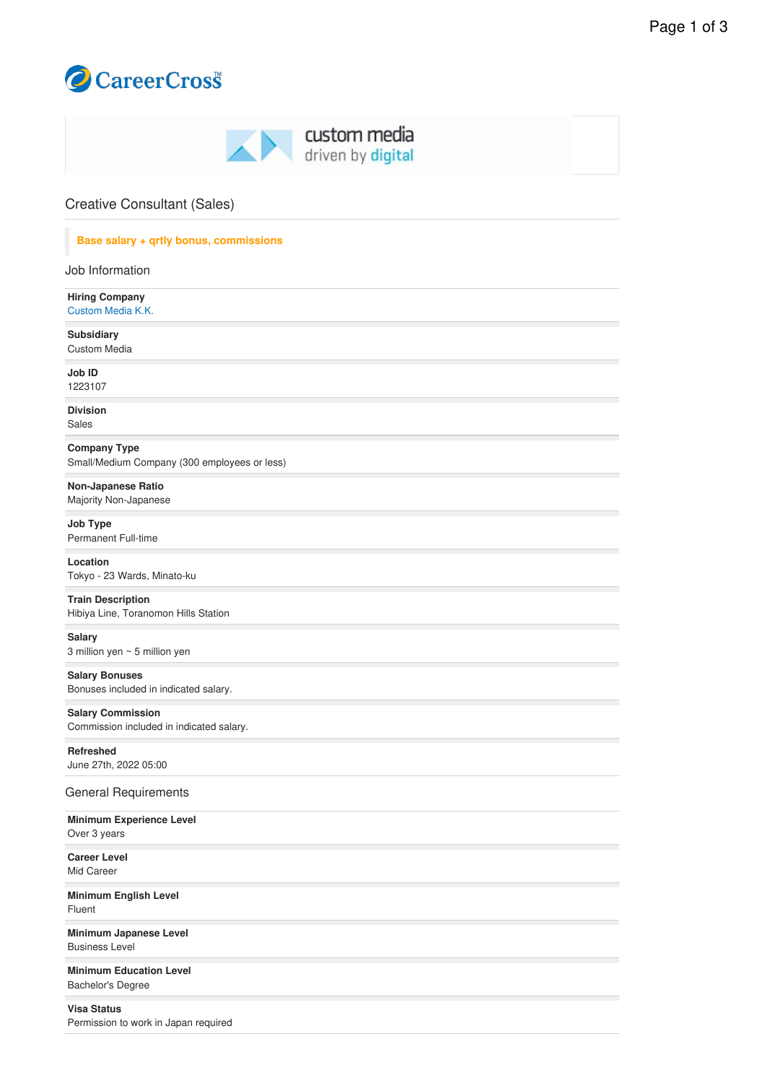

| custom media<br>AN.<br>driven by digital                            |  |
|---------------------------------------------------------------------|--|
| <b>Creative Consultant (Sales)</b>                                  |  |
| Base salary + qrtly bonus, commissions                              |  |
| Job Information                                                     |  |
| <b>Hiring Company</b><br>Custom Media K.K.                          |  |
| Subsidiary<br><b>Custom Media</b>                                   |  |
| Job ID<br>1223107                                                   |  |
| <b>Division</b><br>Sales                                            |  |
| <b>Company Type</b><br>Small/Medium Company (300 employees or less) |  |
| Non-Japanese Ratio<br>Majority Non-Japanese                         |  |
| <b>Job Type</b>                                                     |  |

Permanent Full-time **Location**

Tokyo - 23 Wards, Minato-ku

**Train Description** Hibiya Line, Toranomon Hills Station

**Salary** 3 million yen ~ 5 million yen

**Salary Bonuses** Bonuses included in indicated salary.

**Salary Commission** Commission included in indicated salary.

**Refreshed** June 27th, 2022 05:00

General Requirements

**Minimum Experience Level** Over 3 years

**Career Level** Mid Career

**Minimum English Level** Fluent

**Minimum Japanese Level** Business Level

**Minimum Education Level** Bachelor's Degree

**Visa Status**

Permission to work in Japan required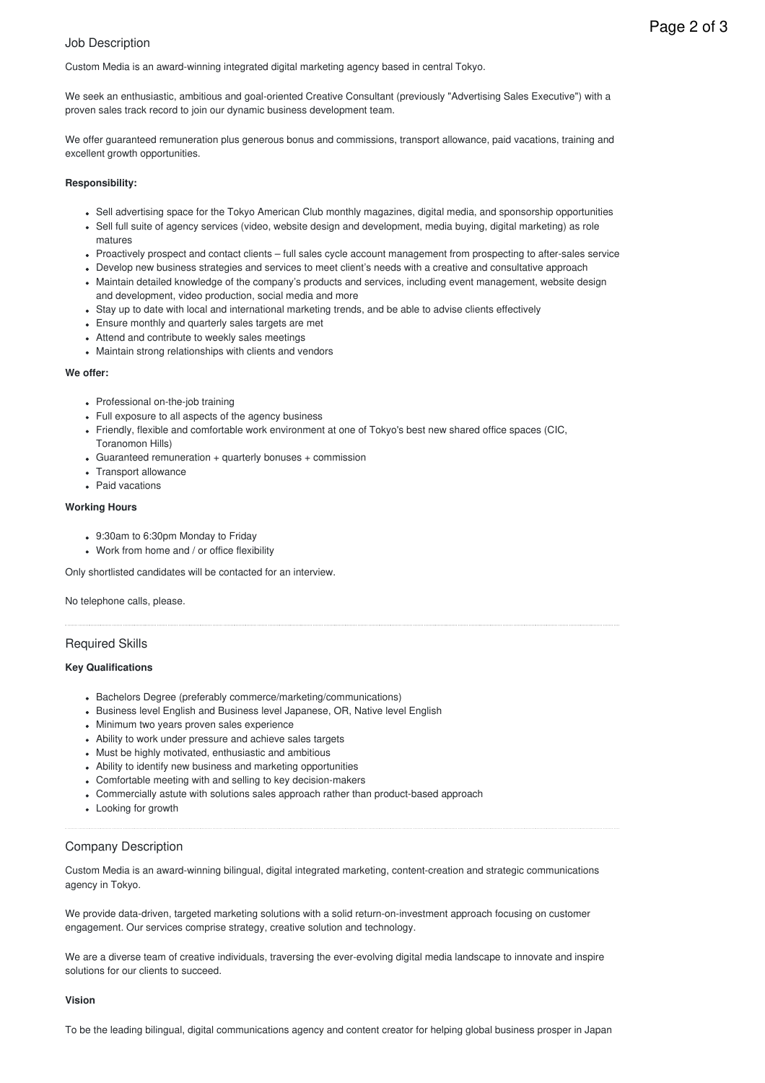# Job Description

Custom Media is an award-winning integrated digital marketing agency based in central Tokyo.

We seek an enthusiastic, ambitious and goal-oriented Creative Consultant (previously "Advertising Sales Executive") with a proven sales track record to join our dynamic business development team.

We offer guaranteed remuneration plus generous bonus and commissions, transport allowance, paid vacations, training and excellent growth opportunities.

## **Responsibility:**

- Sell advertising space for the Tokyo American Club monthly magazines, digital media, and sponsorship opportunities
- Sell full suite of agency services (video, website design and development, media buying, digital marketing) as role matures
- Proactively prospect and contact clients full sales cycle account management from prospecting to after-sales service
- Develop new business strategies and services to meet client's needs with a creative and consultative approach Maintain detailed knowledge of the company's products and services, including event management, website design and development, video production, social media and more
- Stay up to date with local and international marketing trends, and be able to advise clients effectively
- Ensure monthly and quarterly sales targets are met
- Attend and contribute to weekly sales meetings
- Maintain strong relationships with clients and vendors

## **We offer:**

- Professional on-the-job training
- Full exposure to all aspects of the agency business
- Friendly, flexible and comfortable work environment at one of Tokyo's best new shared office spaces (CIC, Toranomon Hills)
- Guaranteed remuneration + quarterly bonuses + commission
- Transport allowance
- Paid vacations

### **Working Hours**

- 9:30am to 6:30pm Monday to Friday
- Work from home and / or office flexibility

Only shortlisted candidates will be contacted for an interview.

No telephone calls, please.

# Required Skills

# **Key Qualifications**

- Bachelors Degree (preferably commerce/marketing/communications)
- **Business level English and Business level Japanese, OR, Native level English**
- Minimum two years proven sales experience
- Ability to work under pressure and achieve sales targets
- Must be highly motivated, enthusiastic and ambitious
- Ability to identify new business and marketing opportunities
- Comfortable meeting with and selling to key decision-makers
- Commercially astute with solutions sales approach rather than product-based approach
- Looking for growth

# Company Description

Custom Media is an award-winning bilingual, digital integrated marketing, content-creation and strategic communications agency in Tokyo.

We provide data-driven, targeted marketing solutions with a solid return-on-investment approach focusing on customer engagement. Our services comprise strategy, creative solution and technology.

We are a diverse team of creative individuals, traversing the ever-evolving digital media landscape to innovate and inspire solutions for our clients to succeed.

### **Vision**

To be the leading bilingual, digital communications agency and content creator for helping global business prosper in Japan